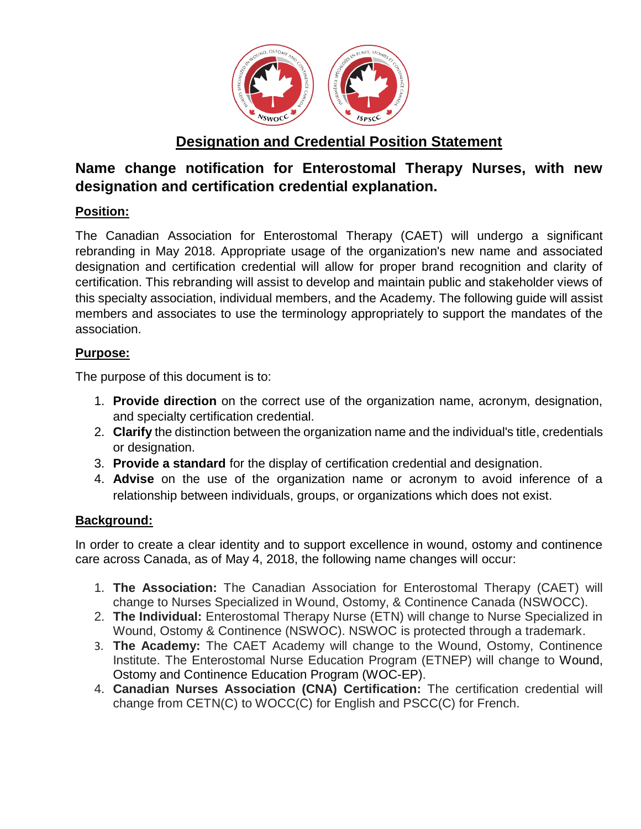

# **Designation and Credential Position Statement**

# **Name change notification for Enterostomal Therapy Nurses, with new designation and certification credential explanation.**

## **Position:**

The Canadian Association for Enterostomal Therapy (CAET) will undergo a significant rebranding in May 2018. Appropriate usage of the organization's new name and associated designation and certification credential will allow for proper brand recognition and clarity of certification. This rebranding will assist to develop and maintain public and stakeholder views of this specialty association, individual members, and the Academy. The following guide will assist members and associates to use the terminology appropriately to support the mandates of the association.

## **Purpose:**

The purpose of this document is to:

- 1. **Provide direction** on the correct use of the organization name, acronym, designation, and specialty certification credential.
- 2. **Clarify** the distinction between the organization name and the individual's title, credentials or designation.
- 3. **Provide a standard** for the display of certification credential and designation.
- 4. **Advise** on the use of the organization name or acronym to avoid inference of a relationship between individuals, groups, or organizations which does not exist.

### **Background:**

In order to create a clear identity and to support excellence in wound, ostomy and continence care across Canada, as of May 4, 2018, the following name changes will occur:

- 1. **The Association:** The Canadian Association for Enterostomal Therapy (CAET) will change to Nurses Specialized in Wound, Ostomy, & Continence Canada (NSWOCC).
- 2. **The Individual:** Enterostomal Therapy Nurse (ETN) will change to Nurse Specialized in Wound, Ostomy & Continence (NSWOC). NSWOC is protected through a trademark.
- 3. **The Academy:** The CAET Academy will change to the Wound, Ostomy, Continence Institute. The Enterostomal Nurse Education Program (ETNEP) will change to Wound, Ostomy and Continence Education Program (WOC-EP).
- 4. **Canadian Nurses Association (CNA) Certification:** The certification credential will change from CETN(C) to WOCC(C) for English and PSCC(C) for French.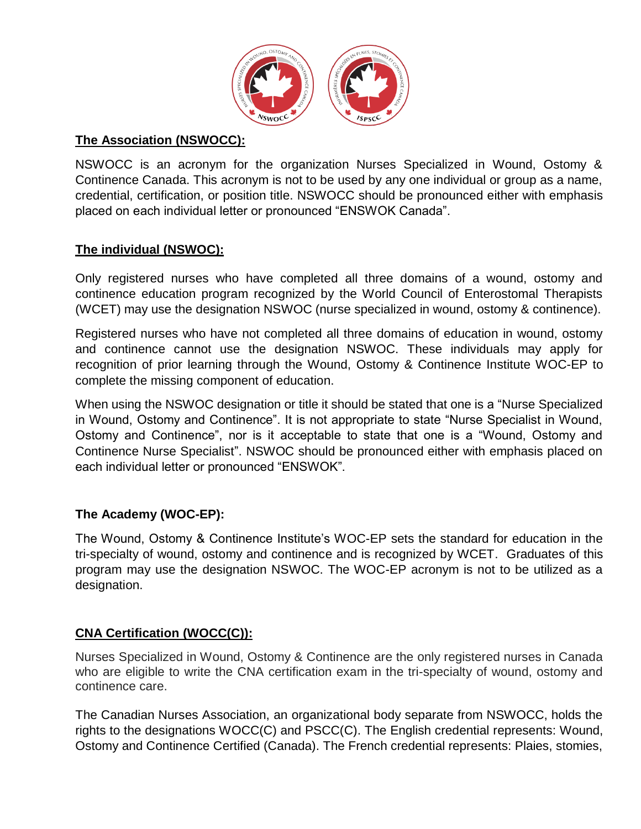

### **The Association (NSWOCC):**

NSWOCC is an acronym for the organization Nurses Specialized in Wound, Ostomy & Continence Canada. This acronym is not to be used by any one individual or group as a name, credential, certification, or position title. NSWOCC should be pronounced either with emphasis placed on each individual letter or pronounced "ENSWOK Canada".

## **The individual (NSWOC):**

Only registered nurses who have completed all three domains of a wound, ostomy and continence education program recognized by the World Council of Enterostomal Therapists (WCET) may use the designation NSWOC (nurse specialized in wound, ostomy & continence).

Registered nurses who have not completed all three domains of education in wound, ostomy and continence cannot use the designation NSWOC. These individuals may apply for recognition of prior learning through the Wound, Ostomy & Continence Institute WOC-EP to complete the missing component of education.

When using the NSWOC designation or title it should be stated that one is a "Nurse Specialized in Wound, Ostomy and Continence". It is not appropriate to state "Nurse Specialist in Wound, Ostomy and Continence", nor is it acceptable to state that one is a "Wound, Ostomy and Continence Nurse Specialist". NSWOC should be pronounced either with emphasis placed on each individual letter or pronounced "ENSWOK".

### **The Academy (WOC-EP):**

The Wound, Ostomy & Continence Institute's WOC-EP sets the standard for education in the tri-specialty of wound, ostomy and continence and is recognized by WCET. Graduates of this program may use the designation NSWOC. The WOC-EP acronym is not to be utilized as a designation.

### **CNA Certification (WOCC(C)):**

Nurses Specialized in Wound, Ostomy & Continence are the only registered nurses in Canada who are eligible to write the CNA certification exam in the tri-specialty of wound, ostomy and continence care.

The Canadian Nurses Association, an organizational body separate from NSWOCC, holds the rights to the designations WOCC(C) and PSCC(C). The English credential represents: Wound, Ostomy and Continence Certified (Canada). The French credential represents: Plaies, stomies,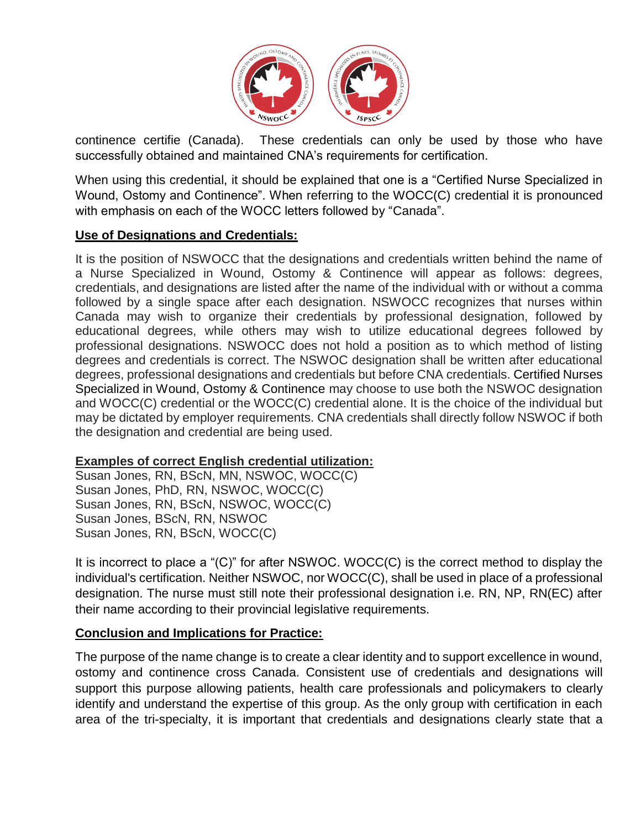

continence certifie (Canada). These credentials can only be used by those who have successfully obtained and maintained CNA's requirements for certification.

When using this credential, it should be explained that one is a "Certified Nurse Specialized in Wound, Ostomy and Continence". When referring to the WOCC(C) credential it is pronounced with emphasis on each of the WOCC letters followed by "Canada".

### **Use of Designations and Credentials:**

It is the position of NSWOCC that the designations and credentials written behind the name of a Nurse Specialized in Wound, Ostomy & Continence will appear as follows: degrees, credentials, and designations are listed after the name of the individual with or without a comma followed by a single space after each designation. NSWOCC recognizes that nurses within Canada may wish to organize their credentials by professional designation, followed by educational degrees, while others may wish to utilize educational degrees followed by professional designations. NSWOCC does not hold a position as to which method of listing degrees and credentials is correct. The NSWOC designation shall be written after educational degrees, professional designations and credentials but before CNA credentials. Certified Nurses Specialized in Wound, Ostomy & Continence may choose to use both the NSWOC designation and WOCC(C) credential or the WOCC(C) credential alone. It is the choice of the individual but may be dictated by employer requirements. CNA credentials shall directly follow NSWOC if both the designation and credential are being used.

#### **Examples of correct English credential utilization:**

Susan Jones, RN, BScN, MN, NSWOC, WOCC(C) Susan Jones, PhD, RN, NSWOC, WOCC(C) Susan Jones, RN, BScN, NSWOC, WOCC(C) Susan Jones, BScN, RN, NSWOC Susan Jones, RN, BScN, WOCC(C)

It is incorrect to place a "(C)" for after NSWOC. WOCC(C) is the correct method to display the individual's certification. Neither NSWOC, nor WOCC(C), shall be used in place of a professional designation. The nurse must still note their professional designation i.e. RN, NP, RN(EC) after their name according to their provincial legislative requirements.

#### **Conclusion and Implications for Practice:**

The purpose of the name change is to create a clear identity and to support excellence in wound, ostomy and continence cross Canada. Consistent use of credentials and designations will support this purpose allowing patients, health care professionals and policymakers to clearly identify and understand the expertise of this group. As the only group with certification in each area of the tri-specialty, it is important that credentials and designations clearly state that a